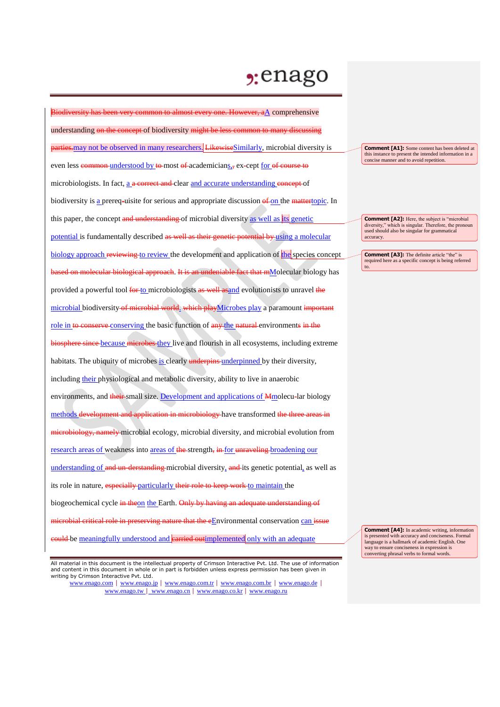## $2:$ enago

Biodiversity has been very common to almost every one. However, aA comprehensive understanding on the concept of biodiversity might be less common to many discul **parties.** may not be observed in many researchers. LikewiseSimilarly, microbial diversity is even less common-understood by to most of academicians, ex-cept for of course to microbiologists. In fact, a a correct and clear and accurate understanding concept of biodiversity is a prereq-uisite for serious and appropriate discussion of on the mattertopic. In this paper, the concept and understanding of microbial diversity as well as its genetic potential is fundamentally described as well as their genetic potential by using a molecular biology approach reviewing to review the development and application of the species concept based on molecular biological approach. It is an undeniable fact that mMolecular biology has provided a powerful tool for to microbiologists as well as and evolutionists to unravel the microbial biodiversity of microbial world. which playMicrobes play a paramount important role in to conserve conserving the basic function of any the natural environments in the biosphere since because microbes they live and flourish in all ecosystems, including extreme habitats. The ubiquity of microbes is clearly underpins underpinned by their diversity, including their physiological and metabolic diversity, ability to live in anaerobic environments, and their small size. Development and applications of Mmolecu-lar biology methods development and application in microbiology have transformed the three areas in microbiology, namely microbial ecology, microbial diversity, and microbial evolution from research areas of weakness into areas of the strength, in for unraveling broadening our understanding of and un-derstanding microbial diversity, and its genetic potential, as well as its role in nature, especially particularly their role to keep work to maintain the biogeochemical cycle in theon the Earth. Only by having an adequate understanding of microbial critical role in preserving nature that the eEnvironmental conservation can issue eould be meaningfully understood and **carried outimplemented** only with an adequate

All material in this document is the intellectual property of Crimson Interactive Pvt. Ltd. The use of information and content in this document in whole or in part is forbidden unless express permission has been given in writing by Crimson Interactive Pvt. Ltd.

www.enago.com | www.enago.jp | www.enago.com.tr | www.enago.com.br | www.enago.de | www.enago.tw | www.enago.cn | www.enago.co.kr | www.enago.ru

**Comment [A1]:** Some content has been deleted at this instance to present the intended information in a concise manner and to avoid repetition.

**Comment [A2]:** Here, the subject is "microbial diversity," which is singular. Therefore, the pronoun used should also be singular for grammatical accuracy.

**Comment [A3]:** The definite article "the" is required here as a specific concept is being referred to.

**Comment [A4]:** In academic writing, information is presented with accuracy and conciseness. Formal language is a hallmark of academic English. One way to ensure conciseness in expression is converting phrasal verbs to formal words.